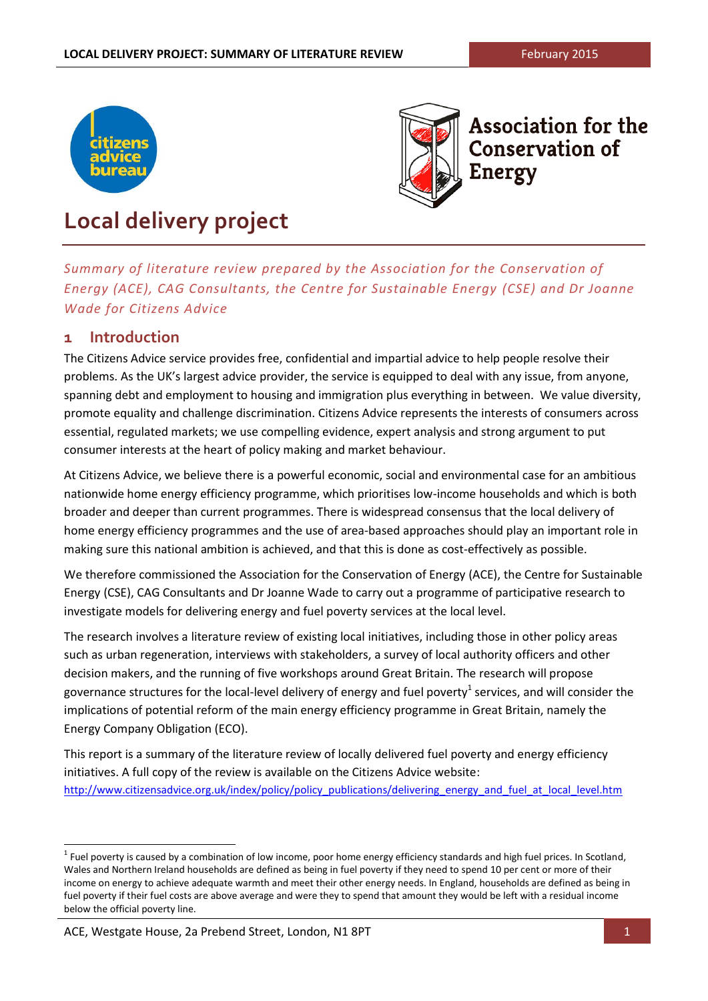



**Association for the Conservation of Energy** 

# **Local delivery project**

*Summary of literature review prepared by the Association for the Conservation of Energy (ACE), CAG Consultants, the Centre for Sustainable Energy (CSE) and Dr Joanne Wade for Citizens Advice*

# **1 Introduction**

The Citizens Advice service provides free, confidential and impartial advice to help people resolve their problems. As the UK's largest advice provider, the service is equipped to deal with any issue, from anyone, spanning debt and employment to housing and immigration plus everything in between. We value diversity, promote equality and challenge discrimination. Citizens Advice represents the interests of consumers across essential, regulated markets; we use compelling evidence, expert analysis and strong argument to put consumer interests at the heart of policy making and market behaviour.

At Citizens Advice, we believe there is a powerful economic, social and environmental case for an ambitious nationwide home energy efficiency programme, which prioritises low-income households and which is both broader and deeper than current programmes. There is widespread consensus that the local delivery of home energy efficiency programmes and the use of area-based approaches should play an important role in making sure this national ambition is achieved, and that this is done as cost-effectively as possible.

We therefore commissioned the Association for the Conservation of Energy (ACE), the Centre for Sustainable Energy (CSE), CAG Consultants and Dr Joanne Wade to carry out a programme of participative research to investigate models for delivering energy and fuel poverty services at the local level.

The research involves a literature review of existing local initiatives, including those in other policy areas such as urban regeneration, interviews with stakeholders, a survey of local authority officers and other decision makers, and the running of five workshops around Great Britain. The research will propose governance structures for the local-level delivery of energy and fuel poverty<sup>1</sup> services, and will consider the implications of potential reform of the main energy efficiency programme in Great Britain, namely the Energy Company Obligation (ECO).

This report is a summary of the literature review of locally delivered fuel poverty and energy efficiency initiatives. A full copy of the review is available on the Citizens Advice website: [http://www.citizensadvice.org.uk/index/policy/policy\\_publications/delivering\\_energy\\_and\\_fuel\\_at\\_local\\_level.htm](http://www.citizensadvice.org.uk/index/policy/policy_publications/delivering_energy_and_fuel_at_local_level.htm#http://www.citizensadvice.org.uk/index/policy/policy_publications/delivering_energy_and_fuel_at_local_level.htm)

 $^1$  Fuel poverty is caused by a combination of low income, poor home energy efficiency standards and high fuel prices. In Scotland, Wales and Northern Ireland households are defined as being in fuel poverty if they need to spend 10 per cent or more of their income on energy to achieve adequate warmth and meet their other energy needs. In England, households are defined as being in fuel poverty if their fuel costs are above average and were they to spend that amount they would be left with a residual income below the official poverty line.

ACE, Westgate House, 2a Prebend Street, London, N1 8PT 1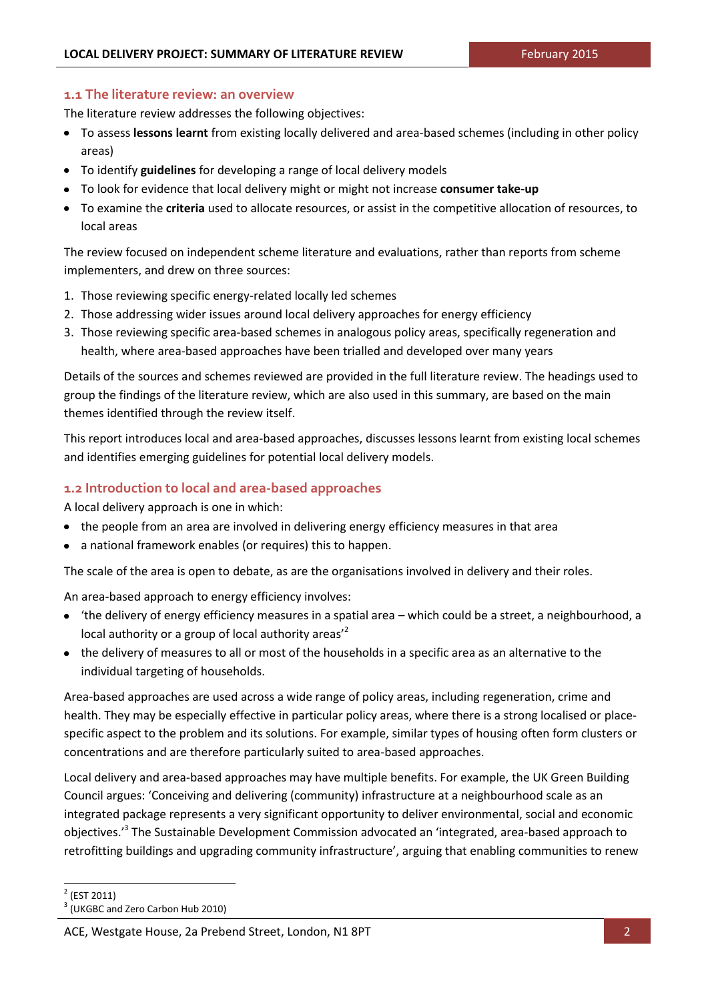#### **1.1 The literature review: an overview**

The literature review addresses the following objectives:

- To assess **lessons learnt** from existing locally delivered and area-based schemes (including in other policy areas)
- To identify **guidelines** for developing a range of local delivery models
- To look for evidence that local delivery might or might not increase **consumer take-up**
- To examine the **criteria** used to allocate resources, or assist in the competitive allocation of resources, to local areas

The review focused on independent scheme literature and evaluations, rather than reports from scheme implementers, and drew on three sources:

- 1. Those reviewing specific energy-related locally led schemes
- 2. Those addressing wider issues around local delivery approaches for energy efficiency
- 3. Those reviewing specific area-based schemes in analogous policy areas, specifically regeneration and health, where area-based approaches have been trialled and developed over many years

Details of the sources and schemes reviewed are provided in the full literature review. The headings used to group the findings of the literature review, which are also used in this summary, are based on the main themes identified through the review itself.

This report introduces local and area-based approaches, discusses lessons learnt from existing local schemes and identifies emerging guidelines for potential local delivery models.

## **1.2 Introduction to local and area-based approaches**

A local delivery approach is one in which:

- the people from an area are involved in delivering energy efficiency measures in that area
- a national framework enables (or requires) this to happen.

The scale of the area is open to debate, as are the organisations involved in delivery and their roles.

An area-based approach to energy efficiency involves:

- 'the delivery of energy efficiency measures in a spatial area which could be a street, a neighbourhood, a local authority or a group of local authority areas<sup>'2</sup>
- the delivery of measures to all or most of the households in a specific area as an alternative to the individual targeting of households.

Area-based approaches are used across a wide range of policy areas, including regeneration, crime and health. They may be especially effective in particular policy areas, where there is a strong localised or placespecific aspect to the problem and its solutions. For example, similar types of housing often form clusters or concentrations and are therefore particularly suited to area-based approaches.

Local delivery and area-based approaches may have multiple benefits. For example, the UK Green Building Council argues: 'Conceiving and delivering (community) infrastructure at a neighbourhood scale as an integrated package represents a very significant opportunity to deliver environmental, social and economic objectives.<sup>,3</sup> The Sustainable Development Commission advocated an 'integrated, area-based approach to retrofitting buildings and upgrading community infrastructure', arguing that enabling communities to renew

l

 $2$  (EST 2011)

<sup>&</sup>lt;sup>3</sup> (UKGBC and Zero Carbon Hub 2010)

ACE, Westgate House, 2a Prebend Street, London, N1 8PT 2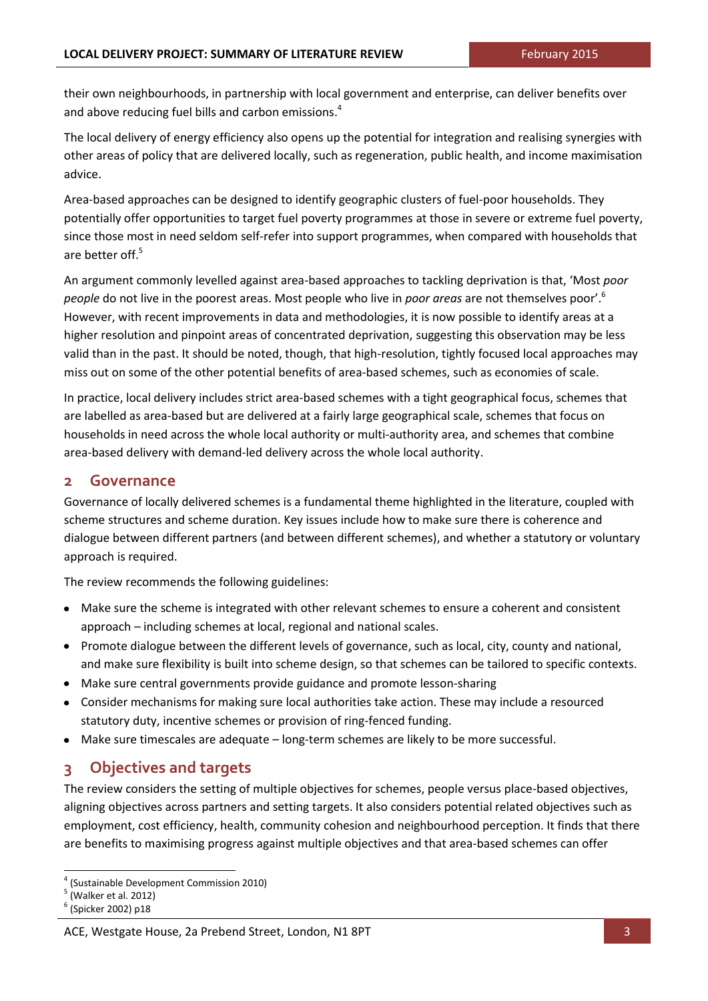their own neighbourhoods, in partnership with local government and enterprise, can deliver benefits over and above reducing fuel bills and carbon emissions.<sup>4</sup>

The local delivery of energy efficiency also opens up the potential for integration and realising synergies with other areas of policy that are delivered locally, such as regeneration, public health, and income maximisation advice.

Area-based approaches can be designed to identify geographic clusters of fuel-poor households. They potentially offer opportunities to target fuel poverty programmes at those in severe or extreme fuel poverty, since those most in need seldom self-refer into support programmes, when compared with households that are better off. 5

An argument commonly levelled against area-based approaches to tackling deprivation is that, 'Most *poor people* do not live in the poorest areas. Most people who live in *poor areas* are not themselves poor'.<sup>6</sup> However, with recent improvements in data and methodologies, it is now possible to identify areas at a higher resolution and pinpoint areas of concentrated deprivation, suggesting this observation may be less valid than in the past. It should be noted, though, that high-resolution, tightly focused local approaches may miss out on some of the other potential benefits of area-based schemes, such as economies of scale.

In practice, local delivery includes strict area-based schemes with a tight geographical focus, schemes that are labelled as area-based but are delivered at a fairly large geographical scale, schemes that focus on households in need across the whole local authority or multi-authority area, and schemes that combine area-based delivery with demand-led delivery across the whole local authority.

## **2 Governance**

Governance of locally delivered schemes is a fundamental theme highlighted in the literature, coupled with scheme structures and scheme duration. Key issues include how to make sure there is coherence and dialogue between different partners (and between different schemes), and whether a statutory or voluntary approach is required.

The review recommends the following guidelines:

- Make sure the scheme is integrated with other relevant schemes to ensure a coherent and consistent approach – including schemes at local, regional and national scales.
- Promote dialogue between the different levels of governance, such as local, city, county and national, and make sure flexibility is built into scheme design, so that schemes can be tailored to specific contexts.
- Make sure central governments provide guidance and promote lesson-sharing
- Consider mechanisms for making sure local authorities take action. These may include a resourced  $\bullet$ statutory duty, incentive schemes or provision of ring-fenced funding.
- Make sure timescales are adequate long-term schemes are likely to be more successful.  $\bullet$

## **3 Objectives and targets**

The review considers the setting of multiple objectives for schemes, people versus place-based objectives, aligning objectives across partners and setting targets. It also considers potential related objectives such as employment, cost efficiency, health, community cohesion and neighbourhood perception. It finds that there are benefits to maximising progress against multiple objectives and that area-based schemes can offer

l 4 (Sustainable Development Commission 2010)

<sup>5</sup> (Walker et al. 2012)

<sup>&</sup>lt;sup>6</sup> (Spicker 2002) p18

ACE, Westgate House, 2a Prebend Street, London, N1 8PT 3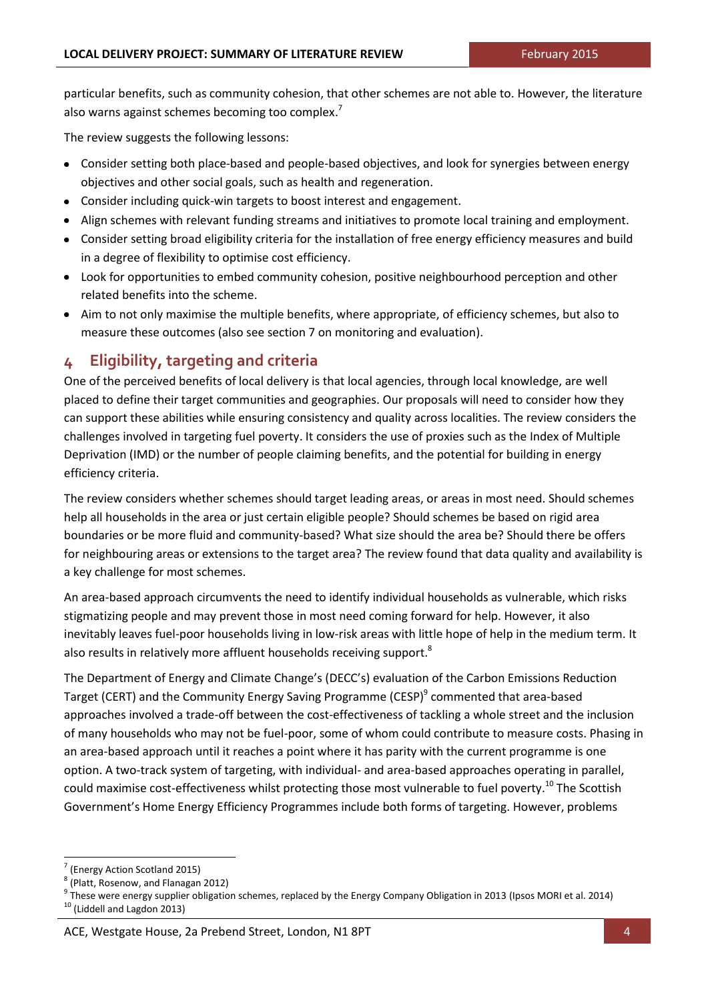particular benefits, such as community cohesion, that other schemes are not able to. However, the literature also warns against schemes becoming too complex.<sup>7</sup>

The review suggests the following lessons:

- Consider setting both place-based and people-based objectives, and look for synergies between energy objectives and other social goals, such as health and regeneration.
- Consider including quick-win targets to boost interest and engagement.
- Align schemes with relevant funding streams and initiatives to promote local training and employment.
- Consider setting broad eligibility criteria for the installation of free energy efficiency measures and build in a degree of flexibility to optimise cost efficiency.
- Look for opportunities to embed community cohesion, positive neighbourhood perception and other related benefits into the scheme.
- Aim to not only maximise the multiple benefits, where appropriate, of efficiency schemes, but also to measure these outcomes (also see section 7 on monitoring and evaluation).

# **4 Eligibility, targeting and criteria**

One of the perceived benefits of local delivery is that local agencies, through local knowledge, are well placed to define their target communities and geographies. Our proposals will need to consider how they can support these abilities while ensuring consistency and quality across localities. The review considers the challenges involved in targeting fuel poverty. It considers the use of proxies such as the Index of Multiple Deprivation (IMD) or the number of people claiming benefits, and the potential for building in energy efficiency criteria.

The review considers whether schemes should target leading areas, or areas in most need. Should schemes help all households in the area or just certain eligible people? Should schemes be based on rigid area boundaries or be more fluid and community-based? What size should the area be? Should there be offers for neighbouring areas or extensions to the target area? The review found that data quality and availability is a key challenge for most schemes.

An area-based approach circumvents the need to identify individual households as vulnerable, which risks stigmatizing people and may prevent those in most need coming forward for help. However, it also inevitably leaves fuel-poor households living in low-risk areas with little hope of help in the medium term. It also results in relatively more affluent households receiving support. ${}^{8}$ 

The Department of Energy and Climate Change's (DECC's) evaluation of the Carbon Emissions Reduction Target (CERT) and the Community Energy Saving Programme (CESP)<sup>9</sup> commented that area-based approaches involved a trade-off between the cost-effectiveness of tackling a whole street and the inclusion of many households who may not be fuel-poor, some of whom could contribute to measure costs. Phasing in an area-based approach until it reaches a point where it has parity with the current programme is one option. A two-track system of targeting, with individual- and area-based approaches operating in parallel, could maximise cost-effectiveness whilst protecting those most vulnerable to fuel poverty.<sup>10</sup> The Scottish Government's Home Energy Efficiency Programmes include both forms of targeting. However, problems

 $10$  (Liddell and Lagdon 2013)

 $\frac{7}{8}$  (Energy Action Scotland 2015)

<sup>(</sup>Platt, Rosenow, and Flanagan 2012)

<sup>&</sup>lt;sup>9</sup> These were energy supplier obligation schemes, replaced by the Energy Company Obligation in 2013 (Ipsos MORI et al. 2014)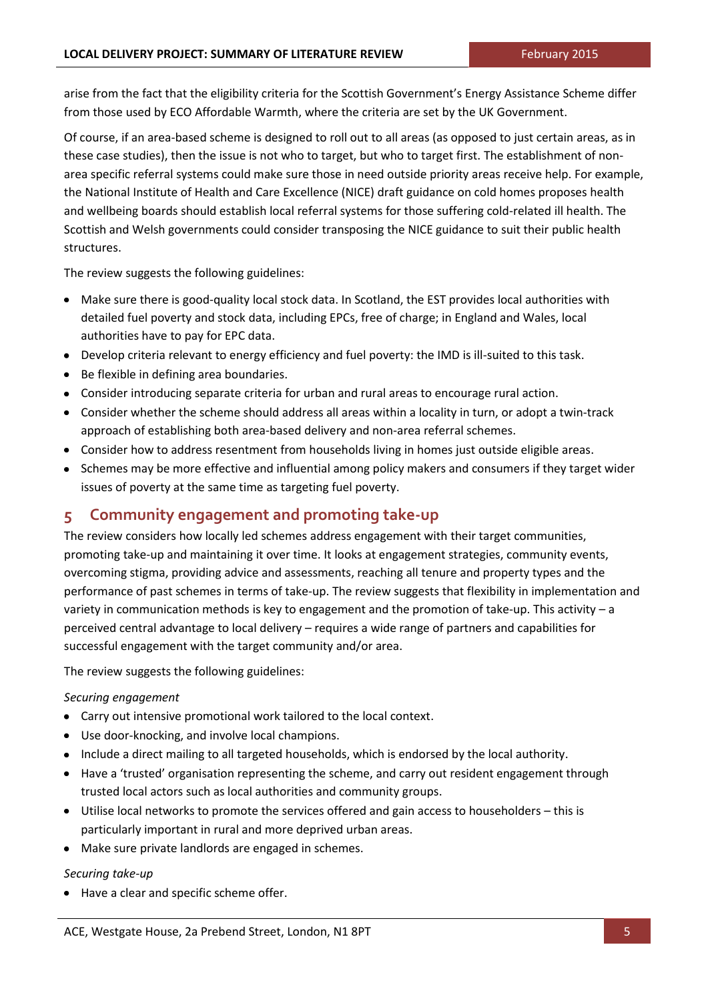arise from the fact that the eligibility criteria for the Scottish Government's Energy Assistance Scheme differ from those used by ECO Affordable Warmth, where the criteria are set by the UK Government.

Of course, if an area-based scheme is designed to roll out to all areas (as opposed to just certain areas, as in these case studies), then the issue is not who to target, but who to target first. The establishment of nonarea specific referral systems could make sure those in need outside priority areas receive help. For example, the National Institute of Health and Care Excellence (NICE) draft guidance on cold homes proposes health and wellbeing boards should establish local referral systems for those suffering cold-related ill health. The Scottish and Welsh governments could consider transposing the NICE guidance to suit their public health structures.

The review suggests the following guidelines:

- Make sure there is good-quality local stock data. In Scotland, the EST provides local authorities with detailed fuel poverty and stock data, including EPCs, free of charge; in England and Wales, local authorities have to pay for EPC data.
- Develop criteria relevant to energy efficiency and fuel poverty: the IMD is ill-suited to this task.
- Be flexible in defining area boundaries.
- Consider introducing separate criteria for urban and rural areas to encourage rural action.
- Consider whether the scheme should address all areas within a locality in turn, or adopt a twin-track approach of establishing both area-based delivery and non-area referral schemes.
- Consider how to address resentment from households living in homes just outside eligible areas.
- Schemes may be more effective and influential among policy makers and consumers if they target wider  $\bullet$ issues of poverty at the same time as targeting fuel poverty.

## **5 Community engagement and promoting take-up**

The review considers how locally led schemes address engagement with their target communities, promoting take-up and maintaining it over time. It looks at engagement strategies, community events, overcoming stigma, providing advice and assessments, reaching all tenure and property types and the performance of past schemes in terms of take-up. The review suggests that flexibility in implementation and variety in communication methods is key to engagement and the promotion of take-up. This activity – a perceived central advantage to local delivery – requires a wide range of partners and capabilities for successful engagement with the target community and/or area.

The review suggests the following guidelines:

#### *Securing engagement*

- Carry out intensive promotional work tailored to the local context.
- Use door-knocking, and involve local champions.
- Include a direct mailing to all targeted households, which is endorsed by the local authority.
- Have a 'trusted' organisation representing the scheme, and carry out resident engagement through trusted local actors such as local authorities and community groups.
- Utilise local networks to promote the services offered and gain access to householders this is particularly important in rural and more deprived urban areas.
- Make sure private landlords are engaged in schemes.

#### *Securing take-up*

• Have a clear and specific scheme offer.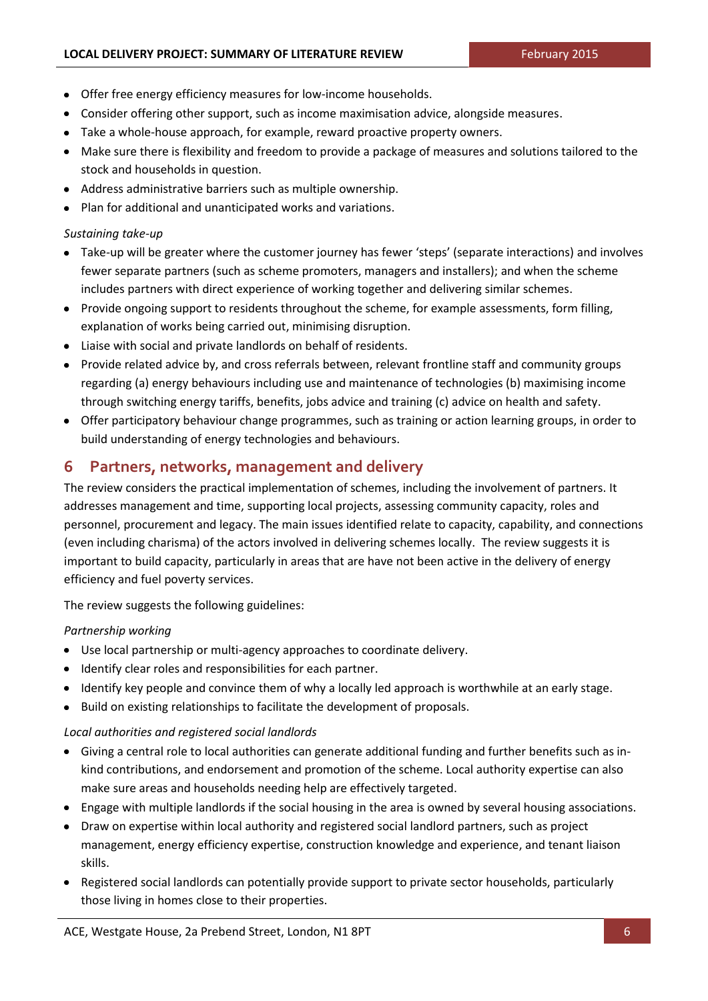- Offer free energy efficiency measures for low-income households.
- Consider offering other support, such as income maximisation advice, alongside measures.
- Take a whole-house approach, for example, reward proactive property owners.
- Make sure there is flexibility and freedom to provide a package of measures and solutions tailored to the stock and households in question.
- Address administrative barriers such as multiple ownership.
- Plan for additional and unanticipated works and variations.

#### *Sustaining take-up*

- Take-up will be greater where the customer journey has fewer 'steps' (separate interactions) and involves fewer separate partners (such as scheme promoters, managers and installers); and when the scheme includes partners with direct experience of working together and delivering similar schemes.
- Provide ongoing support to residents throughout the scheme, for example assessments, form filling, explanation of works being carried out, minimising disruption.
- Liaise with social and private landlords on behalf of residents.
- Provide related advice by, and cross referrals between, relevant frontline staff and community groups  $\bullet$ regarding (a) energy behaviours including use and maintenance of technologies (b) maximising income through switching energy tariffs, benefits, jobs advice and training (c) advice on health and safety.
- Offer participatory behaviour change programmes, such as training or action learning groups, in order to build understanding of energy technologies and behaviours.

## **6 Partners, networks, management and delivery**

The review considers the practical implementation of schemes, including the involvement of partners. It addresses management and time, supporting local projects, assessing community capacity, roles and personnel, procurement and legacy. The main issues identified relate to capacity, capability, and connections (even including charisma) of the actors involved in delivering schemes locally. The review suggests it is important to build capacity, particularly in areas that are have not been active in the delivery of energy efficiency and fuel poverty services.

The review suggests the following guidelines:

#### *Partnership working*

- Use local partnership or multi-agency approaches to coordinate delivery.
- $\bullet$  Identify clear roles and responsibilities for each partner.
- Identify key people and convince them of why a locally led approach is worthwhile at an early stage.
- Build on existing relationships to facilitate the development of proposals.

#### *Local authorities and registered social landlords*

- Giving a central role to local authorities can generate additional funding and further benefits such as inkind contributions, and endorsement and promotion of the scheme. Local authority expertise can also make sure areas and households needing help are effectively targeted.
- Engage with multiple landlords if the social housing in the area is owned by several housing associations.
- Draw on expertise within local authority and registered social landlord partners, such as project management, energy efficiency expertise, construction knowledge and experience, and tenant liaison skills.
- Registered social landlords can potentially provide support to private sector households, particularly those living in homes close to their properties.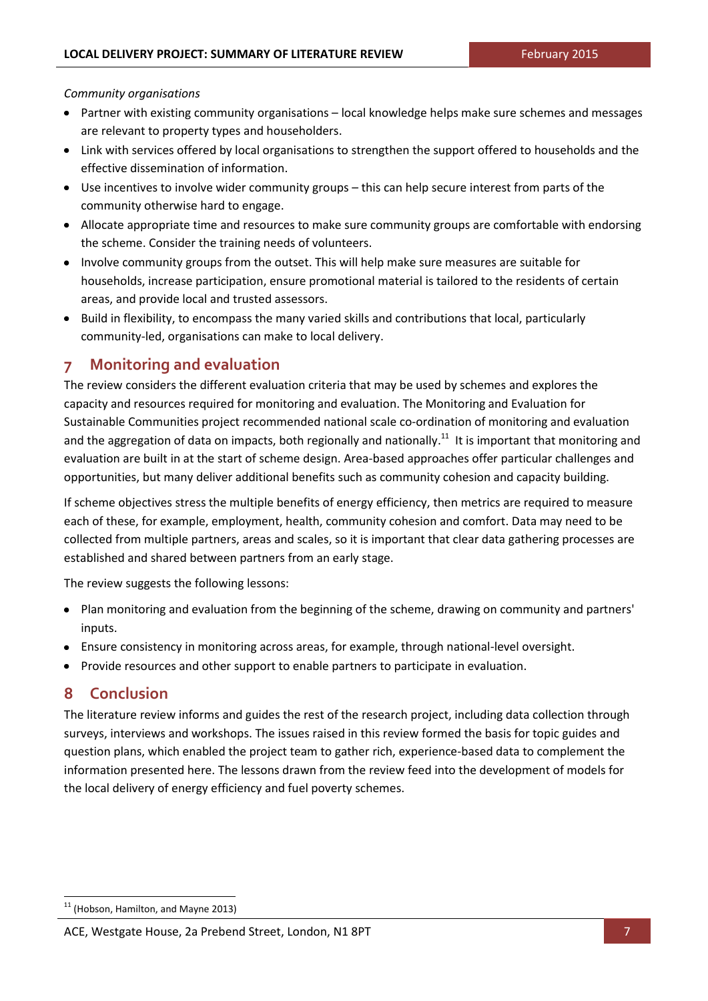*Community organisations*

- Partner with existing community organisations local knowledge helps make sure schemes and messages are relevant to property types and householders.
- Link with services offered by local organisations to strengthen the support offered to households and the effective dissemination of information.
- Use incentives to involve wider community groups this can help secure interest from parts of the community otherwise hard to engage.
- Allocate appropriate time and resources to make sure community groups are comfortable with endorsing the scheme. Consider the training needs of volunteers.
- Involve community groups from the outset. This will help make sure measures are suitable for households, increase participation, ensure promotional material is tailored to the residents of certain areas, and provide local and trusted assessors.
- Build in flexibility, to encompass the many varied skills and contributions that local, particularly community-led, organisations can make to local delivery.

# **7 Monitoring and evaluation**

The review considers the different evaluation criteria that may be used by schemes and explores the capacity and resources required for monitoring and evaluation. The Monitoring and Evaluation for Sustainable Communities project recommended national scale co-ordination of monitoring and evaluation and the aggregation of data on impacts, both regionally and nationally.<sup>11</sup> It is important that monitoring and evaluation are built in at the start of scheme design. Area-based approaches offer particular challenges and opportunities, but many deliver additional benefits such as community cohesion and capacity building.

If scheme objectives stress the multiple benefits of energy efficiency, then metrics are required to measure each of these, for example, employment, health, community cohesion and comfort. Data may need to be collected from multiple partners, areas and scales, so it is important that clear data gathering processes are established and shared between partners from an early stage.

The review suggests the following lessons:

- Plan monitoring and evaluation from the beginning of the scheme, drawing on community and partners' inputs.
- Ensure consistency in monitoring across areas, for example, through national-level oversight.
- Provide resources and other support to enable partners to participate in evaluation.  $\bullet$

## **8 Conclusion**

The literature review informs and guides the rest of the research project, including data collection through surveys, interviews and workshops. The issues raised in this review formed the basis for topic guides and question plans, which enabled the project team to gather rich, experience-based data to complement the information presented here. The lessons drawn from the review feed into the development of models for the local delivery of energy efficiency and fuel poverty schemes.

 $11$  (Hobson, Hamilton, and Mayne 2013)